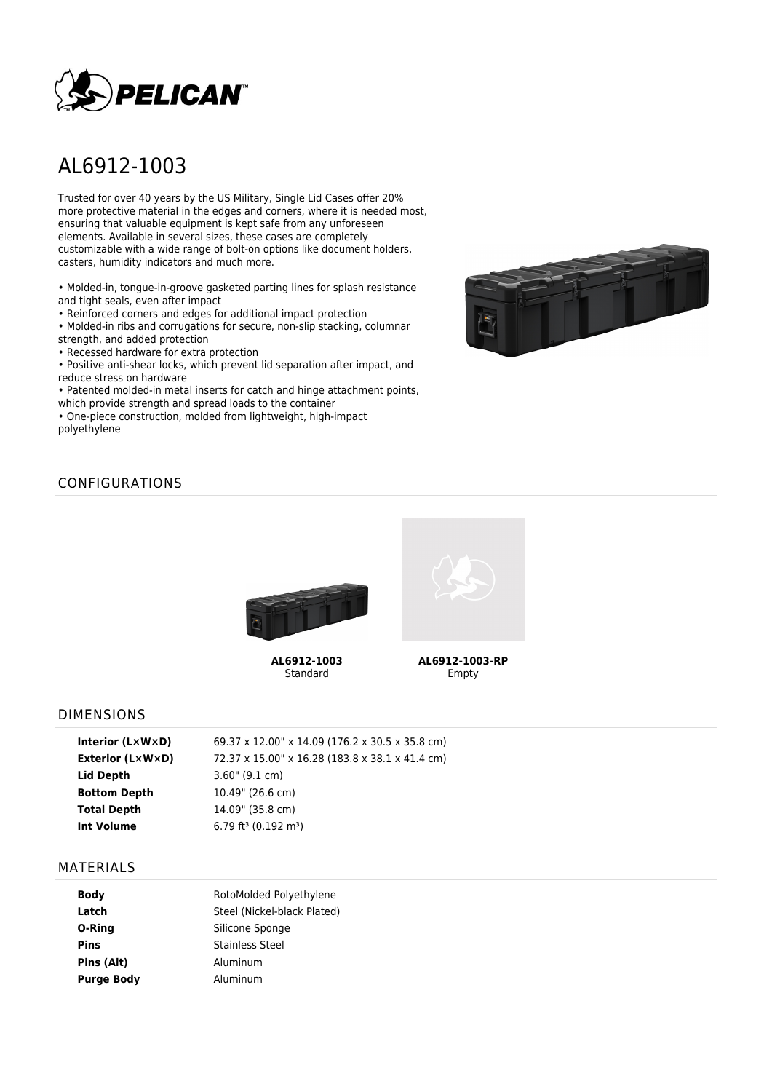

# AL6912-1003

Trusted for over 40 years by the US Military, Single Lid Cases offer 20% more protective material in the edges and corners, where it is needed most, ensuring that valuable equipment is kept safe from any unforeseen elements. Available in several sizes, these cases are completely customizable with a wide range of bolt-on options like document holders, casters, humidity indicators and much more.

• Molded-in, tongue-in-groove gasketed parting lines for splash resistance and tight seals, even after impact

• Reinforced corners and edges for additional impact protection

• Molded-in ribs and corrugations for secure, non-slip stacking, columnar strength, and added protection

• Recessed hardware for extra protection

• Positive anti-shear locks, which prevent lid separation after impact, and reduce stress on hardware

• Patented molded-in metal inserts for catch and hinge attachment points, which provide strength and spread loads to the container

• One-piece construction, molded from lightweight, high-impact polyethylene



## CONFIGURATIONS



**AL6912-1003** Standard



**AL6912-1003-RP** Empty

#### DIMENSIONS

| Interior $(L \times W \times D)$ | 69.37 x 12.00" x 14.09 (176.2 x 30.5 x 35.8 cm) |
|----------------------------------|-------------------------------------------------|
| Exterior (L×W×D)                 | 72.37 x 15.00" x 16.28 (183.8 x 38.1 x 41.4 cm) |
| Lid Depth                        | $3.60$ " (9.1 cm)                               |
| <b>Bottom Depth</b>              | 10.49" (26.6 cm)                                |
| <b>Total Depth</b>               | 14.09" (35.8 cm)                                |
| <b>Int Volume</b>                | 6.79 ft <sup>3</sup> (0.192 m <sup>3</sup> )    |
|                                  |                                                 |

#### MATERIALS

| <b>Body</b>       | RotoMolded Polyethylene     |  |  |
|-------------------|-----------------------------|--|--|
| Latch             | Steel (Nickel-black Plated) |  |  |
| O-Ring            | Silicone Sponge             |  |  |
| <b>Pins</b>       | <b>Stainless Steel</b>      |  |  |
| Pins (Alt)        | Aluminum                    |  |  |
| <b>Purge Body</b> | Aluminum                    |  |  |